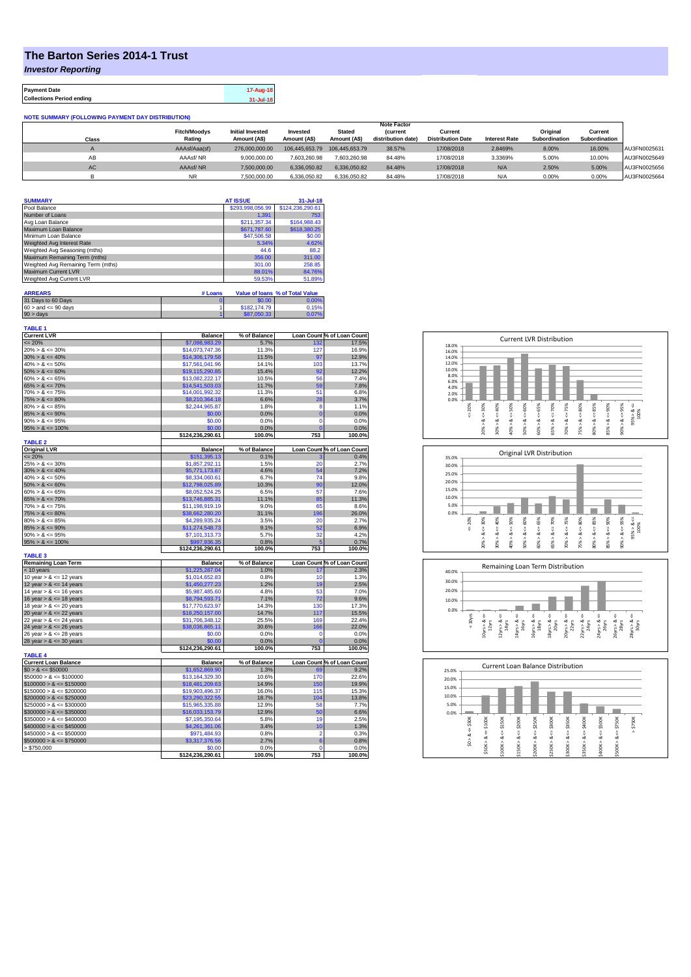## **The Barton Series 2014-1 Trust**

*Investor Reporting*

| <b>Payment Date</b>              | 17-Aug-18 |
|----------------------------------|-----------|
| <b>Collections Period ending</b> | 31-Jul-18 |

| <b>NOTE SUMMARY (FOLLOWING PAYMENT DAY DISTRIBUTION)</b> |                     |                         |                |                |                    |                          |                      |               |               |              |
|----------------------------------------------------------|---------------------|-------------------------|----------------|----------------|--------------------|--------------------------|----------------------|---------------|---------------|--------------|
|                                                          |                     |                         |                |                | <b>Note Factor</b> |                          |                      |               |               |              |
|                                                          | <b>Fitch/Moodys</b> | <b>Initial Invested</b> | Invested       | <b>Stated</b>  | <b>(current</b>    | Current                  |                      | Original      | Current       |              |
| Class                                                    | Rating              | Amount (A\$)            | Amount (A\$)   | Amount (A\$)   | distribution date) | <b>Distribution Date</b> | <b>Interest Rate</b> | Subordination | Subordination |              |
|                                                          | AAAsf/Aaa(sf)       | 276,000,000,00          | 106.445.653.79 | 106.445.653.79 | 38.57%             | 17/08/2018               | 2.8469%              | 8.00%         | 16.00%        | AU3FN0025631 |
| AB                                                       | AAAsf/NR            | 9.000.000.00            | 7.603.260.98   | 7.603.260.98   | 84.48%             | 17/08/2018               | 3.3369%              | 5.00%         | 10.00%        | AU3FN0025649 |
| AC                                                       | AAAsf/NR            | 7.500.000.00            | 6.336.050.82   | 6.336.050.82   | 84.48%             | 17/08/2018               | N/A                  | 2.50%         | 5.00%         | AU3FN0025656 |
|                                                          | <b>NR</b>           | 7.500.000.00            | 6.336.050.82   | 6.336.050.82   | 84.48%             | 17/08/2018               | N/A                  | 0.00%         | 0.00%         | AU3FN0025664 |

| <b>SUMMARY</b>                     | <b>AT ISSUE</b>  | $31 -$ Jul-18    |
|------------------------------------|------------------|------------------|
| Pool Balance                       | \$293,998,056.99 | \$124,236,290.61 |
| Number of Loans                    | 1.391            | 753              |
| Avg Loan Balance                   | \$211,357.34     | \$164,988,43     |
| Maximum Loan Balance               | \$671,787.60     | \$618,380.25     |
| Minimum Loan Balance               | \$47,506.58      | \$0.00           |
| Weighted Avg Interest Rate         | 5.34%            | 4.62%            |
| Weighted Avg Seasoning (mths)      | 44.6             | 88.2             |
| Maximum Remaining Term (mths)      | 356.00           | 311.00           |
| Weighted Avg Remaining Term (mths) | 301.00           | 258.85           |
| Maximum Current LVR                | 88.01%           | 84.76%           |
| Weighted Avg Current LVR           | 59.53%           | 51.89%           |

| <b>ARREARS</b>            | # Loans |              | Value of Ioans % of Total Value |
|---------------------------|---------|--------------|---------------------------------|
| 31 Days to 60 Days        |         | \$0.00       | 0.00%                           |
| $60 >$ and $\leq 90$ days |         | \$182,174.79 | 0.15%                           |
| $90 >$ days               |         | \$87,050,33  | 0.07%                           |

| <b>TABLE 1</b><br><b>Current LVR</b> | <b>Balance</b>             | % of Balance         |                    | Loan Count % of Loan Count                             |
|--------------------------------------|----------------------------|----------------------|--------------------|--------------------------------------------------------|
| $= 20%$                              | \$7,098,983.29             | 5.7%                 | 132                | 17.5%                                                  |
| $20\% > 8 \le 30\%$                  | \$14,073,747.36            | 11.3%                | 127                | 16.9%                                                  |
| $30\% > 8 \le 40\%$                  | \$14,306,179.58            | 11.5%                | 97                 | 12.9%                                                  |
| $40\% > 8 \le 50\%$                  | \$17,561,041.96            | 14.1%                | 103                | 13.7%                                                  |
| $50\% > 8 \le 60\%$                  | \$19,115,290.85            | 15.4%                | 92                 | 12.2%                                                  |
| $60\% > 8 \le 65\%$                  | \$13,082,222.17            | 10.5%                | 56                 | 7.4%                                                   |
| $65\% > 8 \le 70\%$                  | \$14,541,503,03            | 11.7%                | 59                 | 7.8%                                                   |
| $70\% > 8 \le 75\%$                  | \$14,001,992.32            | 11.3%                | 51                 | 6.8%                                                   |
| $75\% > 8 \le 80\%$                  | \$8,210,364.18             | 6.6%                 | 28                 | 3.7%                                                   |
| $80\% > 8 \le 85\%$                  | \$2,244,965.87             | 1.8%                 | 8                  | 1.1%                                                   |
| $85\% > 8 \le 90\%$                  | \$0.00                     | 0.0%                 | $\overline{0}$     | 0.0%                                                   |
| $90\% > 8 \le 95\%$                  | \$0.00                     | 0.0%                 | $\mathbf 0$        | 0.0%                                                   |
| $95\% > 8 \le 100\%$                 | \$0.00                     | 0.0%                 | C                  | 0.0%                                                   |
|                                      | \$124.236.290.61           | 100.0%               | 753                | 100.0%                                                 |
| <b>TABLE 2</b>                       |                            |                      |                    |                                                        |
| <b>Original LVR</b>                  | <b>Balance</b>             | % of Balance         |                    | Loan Count % of Loan Count                             |
| $= 20%$                              | \$151,395.13               | 0.1%                 |                    | 0.4%                                                   |
| $25\% > 8 \le 30\%$                  | \$1,857,292.11             | 1.5%                 | 20                 | 2.7%                                                   |
| $30\% > 8 \le 40\%$                  | \$5,771,173.87             | 4.6%                 | 54                 | 7.2%                                                   |
| $40\% > 8 \le 50\%$                  | \$8,334,060.61             | 6.7%                 | 74                 | 9.8%                                                   |
| $50\% > 8 \le 60\%$                  | \$12.798.025.89            | 10.3%                | 90                 | 12.0%                                                  |
| $60\% > 8 \le 65\%$                  | \$8,052,524.25             | 6.5%                 | 57                 | 7.6%                                                   |
| $65\% > 8 \le 70\%$                  | \$13,746,885.31            | 11.1%                | 85                 | 11.3%                                                  |
| $70\% > 8 \le 75\%$                  | \$11,198,919.19            | 9.0%                 | 65                 | 8.6%                                                   |
| $75\% > 8 \le 80\%$                  | \$38,662,280.20            | 31.1%                | 196                | 26.0%                                                  |
| $80\% > 8 \le 85\%$                  | \$4,289,935.24             | 3.5%                 | 20                 | 2.7%                                                   |
| $85\% > 8 \le 90\%$                  | \$11,274,548.73            | 9.1%                 | 52                 | 6.9%                                                   |
| $90\% > 8 \le 95\%$                  | \$7.101.313.73             | 5.7%                 | 32                 | 4.2%                                                   |
| $95\% > 8 \le 100\%$                 | \$997.936.35               | 0.8%                 | 5                  | 0.7%                                                   |
|                                      | \$124,236,290.61           | 100.0%               | 753                | 100.0%                                                 |
| <b>TABLE 3</b>                       |                            |                      |                    |                                                        |
| <b>Remaining Loan Term</b>           | <b>Balance</b>             | % of Balance         |                    | Loan Count % of Loan Count                             |
| < 10 years                           | \$1,225,287.04             | 1.0%                 | 17                 | 2.3%                                                   |
| 10 year $> 8 \le 12$ years           | \$1,014,652.83             | 0.8%                 | 10                 | 1.3%                                                   |
| 12 year $> 8 \le 14$ years           | \$1,450,277.23             | 1.2%                 | 19                 | 2.5%                                                   |
| 14 year $> 8 \le 16$ years           | \$5,987,485.60             | 4.8%                 | 53                 | 7.0%                                                   |
| 16 year $> 8 \le 18$ years           | \$8,794,593.71             | 7.1%                 | 72                 | 9.6%                                                   |
| 18 year $> 8 \le 20$ years           | \$17,770,623.97            | 14.3%                | 130                | 17.3%                                                  |
| 20 year $> 8 \le 22$ years           | \$18,250,157.00            | 14.7%                | 117                | 15.5%                                                  |
| 22 year $> 8 \le 24$ years           | \$31,706,348.12            | 25.5%                | 169                | 22.4%                                                  |
| 24 year $> 8 \le 26$ years           | \$38,036,865.11            | 30.6%                | 166                | 22.0%                                                  |
| 26 year $> 8 \le 28$ years           | \$0.00                     | 0.0%                 | $\Omega$           | 0.0%                                                   |
| 28 year $> 8 \le 30$ years           | \$0.00                     | 0.0%                 | $\overline{0}$     | 0.0%                                                   |
|                                      | \$124,236,290.61           | 100.0%               | 753                | 100.0%                                                 |
| <b>TABLE 4</b>                       |                            |                      |                    |                                                        |
| <b>Current Loan Balance</b>          | <b>Balance</b>             | % of Balance<br>1.3% |                    | Loan Count % of Loan Count                             |
| $$0 > 8 \leq $50000$                 | \$1,652,869.90             |                      | 69                 | 9.2%                                                   |
| $$50000 > 8 \le $100000$             | \$13,164,329.30            | 10.6%                | 170                | 22.6%                                                  |
| $$100000 > 8 \le $150000$            | \$18,481,209.63            | 14.9%                | 150                | 19.9%                                                  |
| $$150000 > 8 \leq $200000$           | \$19,903,496.37            | 16.0%                | 115                | 15.3%                                                  |
| $$200000 > 8 \leq $250000$           | \$23,290,322.55            | 18.7%                | 104                | 13.8%                                                  |
|                                      |                            | 12.9%                | 58                 | 7.7%                                                   |
| $$250000 > 8 \leq $300000$           | \$15,965,335.88            |                      |                    |                                                        |
| $$300000 > 8 \leq $350000$           | \$16,033,153.79            | 12.9%                | 50                 |                                                        |
| $$350000 > 8 \le $400000$            | \$7,195,350.64             | 5.8%                 | 19                 |                                                        |
| $$400000 > 8 \le $450000$            | \$4,261,361.06             | 3.4%                 | 10                 |                                                        |
| $$450000 > 8 \le $500000$            | \$971,484.93               | 0.8%                 | $\overline{2}$     |                                                        |
| $$500000 > 8 \le $750000$            | \$3,317,376.56             | 2.7%                 | 6                  |                                                        |
| > \$750,000                          | \$0.00<br>\$124,236,290.61 | 0.0%<br>100.0%       | $\mathbf 0$<br>753 | 6.6%<br>2.5%<br>1.3%<br>0.3%<br>0.8%<br>0.0%<br>100.0% |







| 25.0%                                           |                           |                             |                                 |                                 | <b>Current Loan Balance Distribution</b> |                                 |                            |                                 |                             |             |
|-------------------------------------------------|---------------------------|-----------------------------|---------------------------------|---------------------------------|------------------------------------------|---------------------------------|----------------------------|---------------------------------|-----------------------------|-------------|
| 20.0%                                           |                           |                             |                                 |                                 |                                          |                                 |                            |                                 |                             |             |
| 15.0%                                           |                           |                             |                                 |                                 |                                          |                                 |                            |                                 |                             |             |
| 10.0%                                           |                           |                             |                                 |                                 |                                          |                                 |                            |                                 |                             |             |
| 5.0%                                            |                           |                             |                                 |                                 |                                          |                                 |                            |                                 |                             |             |
| 0.0%                                            |                           |                             |                                 |                                 |                                          |                                 |                            |                                 |                             |             |
| \$50K<br>$\frac{1}{\sqrt{2}}$<br>త<br>$\hat{s}$ | \$100K<br>ಯ<br>٨<br>\$50K | \$150K<br>V<br>∞<br>\$100K> | \$200K<br>ű<br>œ<br>Λ<br>\$150K | \$250K<br>ű<br>œ<br>٨<br>\$200K | \$300K<br>ű<br>ಹ<br>Λ<br>\$250K          | \$350K<br>ű<br>œ<br>Λ<br>\$300K | $4 = 5400K$<br>ಹ<br>\$350K | \$500K<br>ű<br>ಯ<br>٨<br>\$400K | \$750K<br>V<br>∞<br>\$500K> | \$750K<br>٨ |